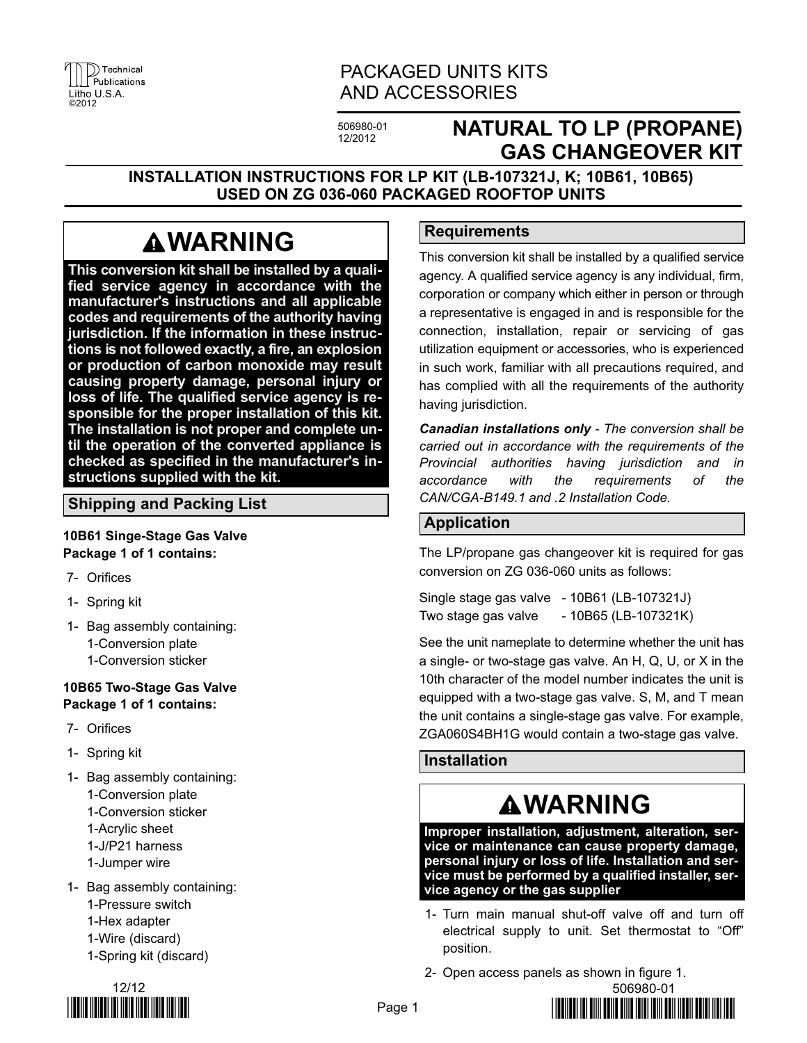|       | $\left  \begin{matrix} 1 \\ 1 \end{matrix} \right $ Publications |
|-------|------------------------------------------------------------------|
|       |                                                                  |
|       | Litho U.S.A.                                                     |
| ©2012 |                                                                  |

### PACKAGED UNITS KITS AND ACCESSORIES

506980-01 12/2012

## **NATURAL TO LP (PROPANE) GAS CHANGEOVER KIT**

**INSTALLATION INSTRUCTIONS FOR LP KIT (LB-107321J, K; 10B61, 10B65) USED ON ZG 036-060 PACKAGED ROOFTOP UNITS**

## **WARNING**

**This conversion kit shall be installed by a qualified service agency in accordance with the manufacturer's instructions and all applicable codes and requirements of the authority having jurisdiction. If the information in these instructions is not followed exactly, a fire, an explosion or production of carbon monoxide may result causing property damage, personal injury or loss of life. The qualified service agency is responsible for the proper installation of this kit. The installation is not proper and complete until the operation of the converted appliance is checked as specified in the manufacturer's instructions supplied with the kit.**

#### **Shipping and Packing List**

#### **10B61 Singe-Stage Gas Valve Package 1 of 1 contains:**

- 7- Orifices
- 1- Spring kit
- 1- Bag assembly containing: 1-Conversion plate 1-Conversion sticker

#### **10B65 Two-Stage Gas Valve Package 1 of 1 contains:**

- 7- Orifices
- 1- Spring kit
- 1- Bag assembly containing: 1-Conversion plate 1-Conversion sticker 1-Acrylic sheet 1-J/P21 harness 1-Jumper wire
- 1- Bag assembly containing: 1-Pressure switch 1-Hex adapter 1-Wire (discard) 1-Spring kit (discard)



#### **Requirements**

This conversion kit shall be installed by a qualified service agency. A qualified service agency is any individual, firm, corporation or company which either in person or through a representative is engaged in and is responsible for the connection, installation, repair or servicing of gas utilization equipment or accessories, who is experienced in such work, familiar with all precautions required, and has complied with all the requirements of the authority having jurisdiction.

*Canadian installations only - The conversion shall be carried out in accordance with the requirements of the Provincial authorities having jurisdiction and in accordance with the requirements of the CAN/CGA-B149.1 and .2 Installation Code.*

#### **Application**

The LP/propane gas changeover kit is required for gas conversion on ZG 036-060 units as follows:

Single stage gas valve - 10B61 (LB-107321J) Two stage gas valve - 10B65 (LB-107321K)

See the unit nameplate to determine whether the unit has a single- or two-stage gas valve. An H, Q, U, or X in the 10th character of the model number indicates the unit is equipped with a two-stage gas valve. S, M, and T mean the unit contains a single-stage gas valve. For example, ZGA060S4BH1G would contain a two-stage gas valve.

#### **Installation**

# **WARNING**

**Improper installation, adjustment, alteration, service or maintenance can cause property damage, personal injury or loss of life. Installation and service must be performed by a qualified installer, service agency or the gas supplier**

- 1- Turn main manual shut-off valve off and turn off electrical supply to unit. Set thermostat to "Off" position.
- 2- Open access panels as shown in figure [1](#page-1-0).

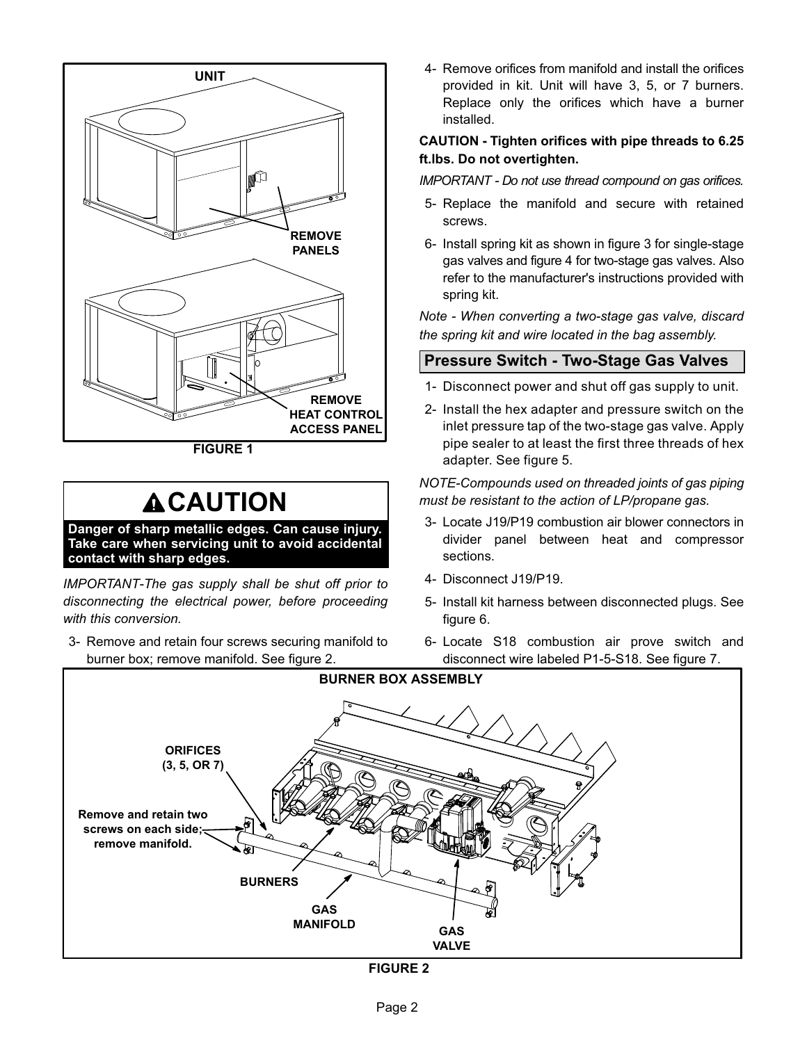<span id="page-1-0"></span>

**FIGURE 1**

## **ACAUTION**

**Danger of sharp metallic edges. Can cause injury. Take care when servicing unit to avoid accidental contact with sharp edges.**

*IMPORTANT-The gas supply shall be shut off prior to disconnecting the electrical power, before proceeding with this conversion.*

3- Remove and retain four screws securing manifold to burner box; remove manifold. See figure 2.

4- Remove orifices from manifold and install the orifices provided in kit. Unit will have 3, 5, or 7 burners. Replace only the orifices which have a burner installed.

#### **CAUTION - Tighten orifices with pipe threads to 6.25 ft.lbs. Do not overtighten.**

*IMPORTANT - Do not use thread compound on gas orifices.*

- 5- Replace the manifold and secure with retained screws.
- 6- Install spring kit as shown in figure [3](#page-2-0) for single-stage gas valves and figure [4](#page-2-0) for two-stage gas valves. Also refer to the manufacturer's instructions provided with spring kit.

*Note - When converting a two-stage gas valve, discard the spring kit and wire located in the bag assembly.*

#### **Pressure Switch - Two-Stage Gas Valves**

- 1- Disconnect power and shut off gas supply to unit.
- 2- Install the hex adapter and pressure switch on the inlet pressure tap of the two-stage gas valve. Apply pipe sealer to at least the first three threads of hex adapter. See figure [5](#page-2-0).

#### *NOTE-Compounds used on threaded joints of gas piping must be resistant to the action of LP/propane gas.*

- 3- Locate J19/P19 combustion air blower connectors in divider panel between heat and compressor sections.
- 4- Disconnect J19/P19.
- 5- Install kit harness between disconnected plugs. See figure [6](#page-3-0).
- 6- Locate S18 combustion air prove switch and disconnect wire labeled P1-5-S18. See figure [7](#page-3-0).



**FIGURE 2**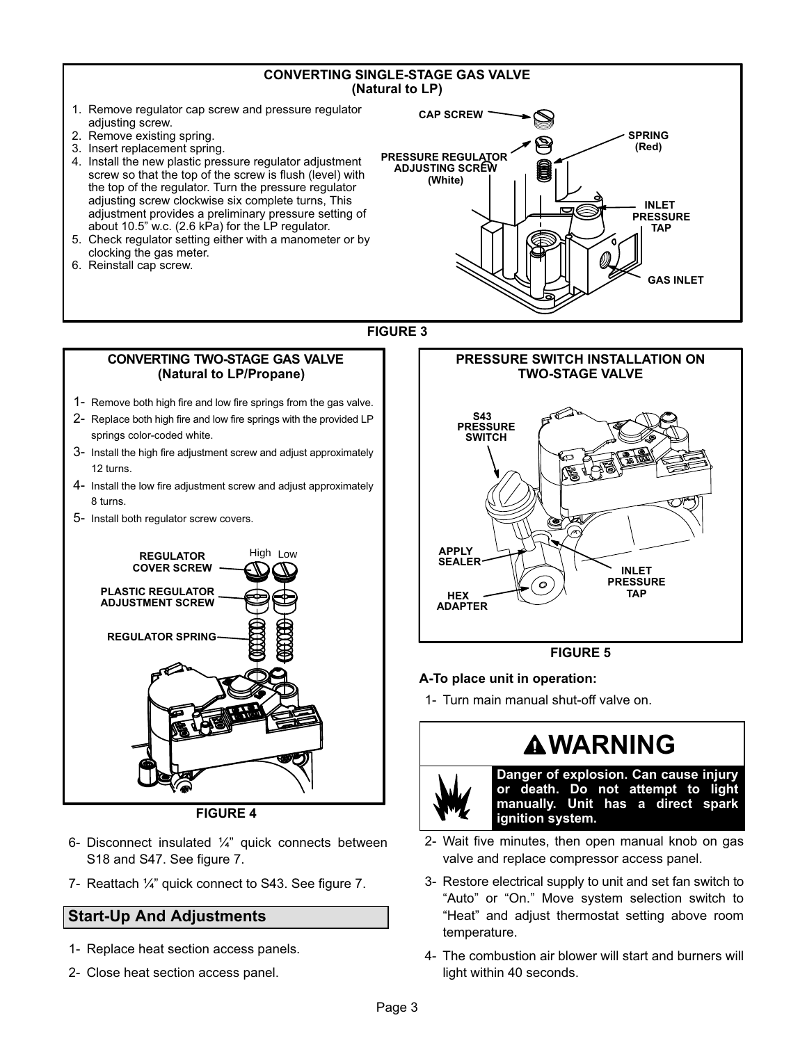#### **CONVERTING SINGLE-STAGE GAS VALVE (Natural to LP)**

- <span id="page-2-0"></span>1. Remove regulator cap screw and pressure regulator adjusting screw.
- 2. Remove existing spring.
- 3. Insert replacement spring.
- 4. Install the new plastic pressure regulator adjustment screw so that the top of the screw is flush (level) with the top of the regulator. Turn the pressure regulator adjusting screw clockwise six complete turns, This adjustment provides a preliminary pressure setting of about 10.5" w.c. (2.6 kPa) for the LP regulator.
- 5. Check regulator setting either with a manometer or by clocking the gas meter.
- 6. Reinstall cap screw.



#### **FIGURE 3**

#### **CONVERTING TWO-STAGE GAS VALVE (Natural to LP/Propane)**

- 1- Remove both high fire and low fire springs from the gas valve.
- 2- Replace both high fire and low fire springs with the provided LP springs color-coded white.
- 3- Install the high fire adjustment screw and adjust approximately 12 turns.
- 4- Install the low fire adjustment screw and adjust approximately 8 turns.
- 5- Install both regulator screw covers.



**FIGURE 4**

- 6- Disconnect insulated ¼" quick connects between S18 and S47. See figure [7.](#page-3-0)
- 7- Reattach ¼" quick connect to S43. See figure [7](#page-3-0).

#### **Start-Up And Adjustments**

- 1- Replace heat section access panels.
- 2- Close heat section access panel.



#### **FIGURE 5**

#### **A-To place unit in operation:**

1- Turn main manual shut-off valve on.

# **WARNING**

**Danger of explosion. Can cause injury or death. Do not attempt to light manually. Unit has a direct spark ignition system.**

- 2- Wait five minutes, then open manual knob on gas valve and replace compressor access panel.
- 3- Restore electrical supply to unit and set fan switch to "Auto" or "On." Move system selection switch to "Heat" and adjust thermostat setting above room temperature.
- 4- The combustion air blower will start and burners will light within 40 seconds.